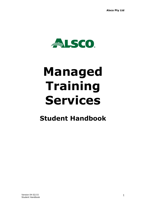

# **Managed Training Services**

# **Student Handbook**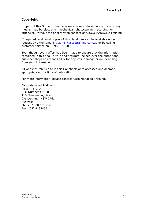#### **Copyright**

No part of this Student Handbook may be reproduced in any form or any means, may be electronic, mechanical, photocopying, recording, or otherwise, without the prior written consent of ALSCO MANAGED Training.

If required, additional copies of this Handbook can be available upon request by either emailing [admin@alscotraining.com.au](mailto:admin@alscotraining.com.au) or by calling customer service on 02 9851 4600

Even though every effort has been made to ensure that the information contained in this book is true and accurate, helped ever the author and publisher steps no responsibility for any loss, damage or injury arising from such information.

All websites referred to in this Handbook were accessed and deemed appropriate at the time of publication.

For more information, please contact Alsco Managed Training.

Alsco Managed Training Alsco PTY LTD RTO Number : 40581 118 Glendenning Road Glendenning, NSW 2761 Australia Phone: 1300 651 706 Fax: (02) 94374351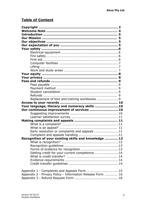### **Table of Content**

| Replacement of text and training workbooks 9               |  |
|------------------------------------------------------------|--|
|                                                            |  |
| Your language, literacy and numeracy skills 10             |  |
| Our continuous improvement of services 10                  |  |
|                                                            |  |
|                                                            |  |
|                                                            |  |
|                                                            |  |
|                                                            |  |
| Early resolution or complaints and appeals 11              |  |
|                                                            |  |
| Recognition of your existing skills and knowledge  12      |  |
|                                                            |  |
|                                                            |  |
|                                                            |  |
| Getting credit for your current competence  14             |  |
|                                                            |  |
|                                                            |  |
|                                                            |  |
|                                                            |  |
|                                                            |  |
| Appendix 2 - Privacy Policy - Information Release Form  16 |  |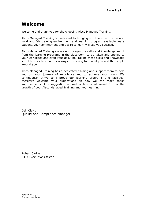## **Welcome**

Welcome and thank you for the choosing Alsco Managed Training.

Alsco Managed Training is dedicated to bringing you the most up-to-date, valid and fair training environment and learning program available. As a student, your commitment and desire to learn will see you succeed.

Alsco Managed Training always encourages the skills and knowledge learnt from the learning programs in the classroom, to be taken and applied to your workplace and even your daily life. Taking these skills and knowledge learnt to seek to create new ways of working to benefit you and the people around you.

Alsco Managed Training has a dedicated training and support team to help you on your journey of excellence and to achieve your goals. We continuously strive to improve our learning programs and facilities, therefore welcome your suggestions on how we can make these improvements. Any suggestion no matter how small would further the growth of both Alsco Managed Training and your learning.

Celli Clews Quality and Compliance Manager

Robert Carlile RTO Executive Officer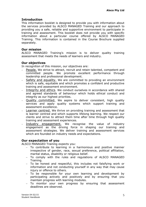#### **Introduction**

This information booklet is designed to provide you with information about the services provided by ALSCO MANAGED Training and our approach to providing you a safe, reliable and supportive environment to participate in training and assessment. This booklet does not provide you with specific information about a particular course offered by ALSCO MANAGED Training. This information is contained in the Course Brochure supplied separately.

#### **Our mission**

ALSCO MANAGED Training's mission is to deliver quality training assessment that meets the needs of learners and industry.

#### **Our objectives**

In recognition of this mission, our objectives are:

- People. We strive to attract, recruit and retain talented, competent and committed people. We promote excellent performance through leadership and professional development.
- Safety and equality. We are committed to providing an environment which is safe, equitable and which promotes a confident and productive training and assessment environment.
- Integrity and ethics. We conduct ourselves in accordance with shared and agreed standards of behaviour which holds ethical conduct and integrity as our highest priorities.
- Quality committed. We aspire to deliver consistent, high quality services and apply quality systems which support training and assessment excellence.
- Learner centred. We thrive on providing training and assessment that is learner centred and which supports lifelong learning. We respect our clients and strive to attract them time after time through high quality training and assessment experiences.
- Industry engagement. We recognise the value of industry engagement as the driving force in shaping our training and assessment strategies. We deliver training and assessment services which are founded on industry needs and expectations.

#### **Our expectation of you**

ALSCO MANAGED Training expects you:

- To contribute to learning in a harmonious and positive manner irrespective of gender, race, sexual preference, political affiliation, marital status, disability or religious belief.
- To comply with the rules and regulations of ALSCO MANAGED Training.
- To be honest and respectful, this includes not falsifying work or information and not conducting yourself in any way that may cause injury or offence to others.
- To be responsible for your own learning and development by participating actively and positively and by ensuring that you maintain progress with learning modules.
- To monitor your own progress by ensuring that assessment deadlines are observed.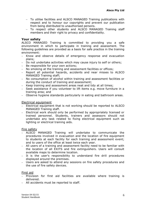- To utilise facilities and ALSCO MANAGED Training publications with respect and to honour our copyrights and prevent our publication from being distributed to unauthorised persons.
- To respect other students and ALSCO MANAGED Training staff members and their right to privacy and confidentiality.

#### **Your safety**

ALSCO MANAGED Training is committed to providing you a safe environment in which to participate in training and assessment. The following guidelines are provided as a basis for safe practice in the training environment:

- Know and observe details of emergency response and evacuation plans;
- Do not undertake activities which may cause injury to self or others;
- Be responsible for your own actions;
- No smoking at the training and assessment facilities or offices;
- Report all potential hazards, accidents and near misses to ALSCO MANAGED Training staff;
- No consumption of alcohol within training and assessment facilities or during the conduct of training and assessment;
- Keep training and assessment areas neat and tidy at all times:
- Seek assistance if you volunteer to lift items e.g. move furniture in a training area; and
- Observe hygiene standards particularly in eating and bathroom areas.

#### Electrical equipment

- Electrical equipment that is not working should be reported to ALSCO MANAGED Training staff.
- Electrical work should only be performed by appropriately licensed or trained personnel. Students, trainers and assessors should not undertake any task related to fixing electrical equipment such as lighting or electrical training aids.

#### Fire safety

- ALSCO MANAGED Training will undertake to communicate the procedures involved in evacuation and the location of fire equipment to students at each facility for each training and assessment event; and to users of the office at least twice each year.
- All users of a training and assessment facility need to be familiar with the location of all EXITS and fire extinguishers. Users will consult available maps to determine location.
- It is the user's responsibility to understand fire drill procedures displayed around the premises.
- Users are asked to attend any sessions on fire safety procedures and the use of fire safety devices.

#### First aid

- Provision for first aid facilities are available where training is delivered.
- All accidents must be reported to staff.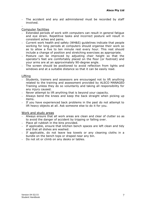- The accident and any aid administered must be recorded by staff involved.

#### Computer facilities

- Extended periods of work with computers can result in general fatigue and eye strain. Repetitive tasks and incorrect posture will result in consistent aches and pains.
- Current work health and safety (WH&S) guidelines indicate that people working for long periods at computers should organise their work so as to allow a five to ten minute rest every hour. This rest should include a change of position and stretching exercises as appropriate.
- Posture can be improved by adjusting chair height so that the operator's feet are comfortably placed on the floor (or footrest) and your arms are at an approximately 90-degree angle.
- The screen should be positioned to avoid reflection from lights and windows and at a suitable distance so that it can be easily read.

#### Lifting

 $\overline{a}$ 

- Students, trainers and assessors are encouraged not to lift anything related to the training and assessment provided by ALSCO MANAGED Training unless they do so voluntarily and taking all responsibility for any injury caused.
- Never attempt to lift anything that is beyond your capacity.
- Always bend the knees and keep the back straight when picking up items.
- If you have experienced back problems in the past do not attempt to lift heavy objects at all. Ask someone else to do it for you.

#### Work and study areas

- Always ensure that all work areas are clean and clear of clutter so as to avoid the danger of accident by tripping or falling over.
- $-$  Place all rubbish in the bins provided.
- If applicable, ensure that kitchen bench spaces are left clean and tidy and that all dishes are washed.
- If applicable, do not leave tea towels or any cleaning cloths in a bundle on the bench tops or draped near any bin.
- Do not sit or climb on any desks or tables.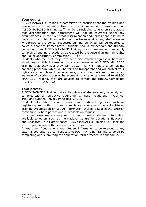#### **Your equity**

ALSCO MANAGED Training is committed to ensuring that the training and assessment environment is free from discrimination and harassment. All ALSCO MANAGED Training staff members (including contractors) are aware that discrimination and harassment will not be tolerated under any circumstances. In the event that discrimination and harassment is found to have occurred disciplinary action will be taken against any staff member who breaches this policy. Suspected criminal behaviour will be reported to police authorities immediately. Students should expect fair and friendly behaviour from ALSCO MANAGED Training staff members and we apply complaint handling procedures advocated by the Australian Human Rights and Equal Opportunity Commission (HREOC).

Students who feel that they have been discriminated against or harassed should report this information to a staff member of ALSCO MANAGED Training that they feel they can trust. This will initiate a complaints handling procedure which will be fair and transparent and will protect your rights as a complainant. Alternatively, if a student wishes to report an instance of discrimination or harassment to an agency external to ALSCO MANAGED Training, they are advised to contact the HREOC Complaints Info-line on 1300 656 419.

#### **Your privacy**

ALSCO MANAGED Training takes the privacy of students very seriously and complies with all legislative requirements. These include the Privacy Act 1988 and National Privacy Principles (2001).

Student information is only shared with external agencies such as registering authorities to meet compliance requirements as a Registered Training Organisation (RTO). All information shared is kept in the strictest confidence by both parties and is available on request.

In some cases we are required by law to make student information available to others such as the National Centre for Vocational Education and Research. In all other cases ALSCO MANAGED Training will seek the written permission of the student for such disclosure.

At any time, if you require your student information to be released to any external sources. You can requests ALSCO MANAGED Training to do so by completing and submitting the application form attached in appendix 2.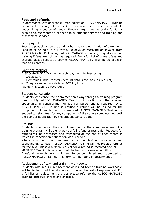#### **Fees and refunds**

In accordance with applicable State legislation, ALSCO MANAGED Training is entitled to charge fees for items or services provided to students undertaking a course of study. These charges are generally for items such as course materials or text books, student services and training and assessment services.

#### Fees payable

Fees are payable when the student has received notification of enrolment. Fees must be paid in full within 10 days of receiving an invoice from ALSCO MANAGED Training. ALSCO MANAGED Training may discontinue training if fees are not paid as required. For a full list of current fees and charges please request a copy of ALSCO MANAGED Training schedule of fees and charges.

#### Payment method

ALSCO MANAGED Training accepts payment for fees using:

- Credit Card
- Electronic Funds Transfer (account details available on request)
- Cheque (made payable to ALSCO Pty Ltd)

Payment in cash is discouraged.

#### Student cancellation

Students who cancel their enrolment part way through a training program must notify ALSCO MANAGED Training in writing at the soonest opportunity if consideration of fee reimbursement is required. Once ALSCO MANAGED Training is notified a refund will be issued for the component of training not commenced. ALSCO MANAGED Training is entitled to retain fees for any component of the course completed up until the point of notification by the student cancellation.

#### Refunds

Students who cancel their enrolment before the commencement of a training program will be entitled to a full refund of fees paid. Requests for refunds will be processed and transacted at the end of each month in which the cancelation notification was received.

Where a student has purchased a text or training workbooks and subsequently cancels, ALSCO MANAGED Training will not provide refunds for the text unless a written request for a refund is received and ALSCO MANAGED Training is satisfied that the text is in as-new condition.

A refund requests form will need to be completed and submitted to ALSCO MANAGED Training, this form can be found in attachment 3.

#### Replacement of text and training workbooks

Students who require replacement of issued text or training workbooks will be liable for additional charges to cover the cost of replacement. For a full list of replacement charges please refer to the ALSCO MANAGED Training schedule of fees and charges.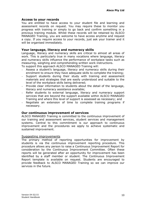#### **Access to your records**

You are entitled to have access to your student file and learning and assessment records on request. You may require these to monitor you progress with training or simply to go back and confirm something in a previous training module. Whilst these records will be retained by ALSCO MANAGED Training, you are welcome to have access anytime and request a copy. If you require access to your records, just ask your trainer and it will be organised immediately.

#### **Your language, literacy and numeracy skills**

Language, literacy and numeracy skills are critical to almost all areas of work. This is particularly true in many vocations where language, literacy and numeracy skills influence the performance of workplace tasks such as measuring, weighing and comprehending written work instructions.

To support this approach ALSCO MANAGED Training will:

- Assess a student's language, literacy and numeracy skills during their enrolment to ensure they have adequate skills to complete the training;
- Support students during their study with training and assessment materials and strategies that are easily understood and suitable to the level of the workplace skills being delivered;
- Provide clear information to students about the detail of the language, literacy and numeracy assistance available;
- Refer students to external language, literacy and numeracy support services that are beyond the support available within ALSCO MANAGED Training and where this level of support is assessed as necessary; and
- Negotiate an extension of time to complete training programs if necessary.

#### **Our continuous improvement of services**

ALSCO MANAGED Training is committed to the continuous improvement of our training and assessment services, student services and management systems. Central to this commitment is our approach to continuous improvement and the procedures we apply to achieve systematic and sustained improvement.

#### Suggesting improvements

The primary method of reporting opportunities for improvement by students is via the continuous improvement reporting procedure. This procedure allows any person to raise a Continuous Improvement Report for consideration by the Continuous Improvement Committee. Often these reports will be generated after an opportunity for improvement has been identified by a staff member or student. The Continuous Improvement Report template is available on request. Students are encouraged to provide feedback to ALSCO MANAGED Training so we can improve our services in the future.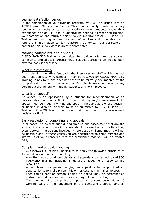#### Learner satisfaction survey

At the completion of your training program, you will be issued with an AQTF Learner Satisfaction Survey. This is a nationally consistent survey tool which is designed to collect feedback from students about their experience with an RTO and in undertaking nationally recognised training. Your completion and return of this survey is important to ALSCO MANAGED Training for our ongoing improvement of services and to enable us to report this information to our registering authority. Your assistance in gathering this survey data is greatly appreciated.

#### **Making complaints and appeals**

ALSCO MANAGED Training is committed to providing a fair and transparent complaints and appeals process that includes access to an independent external body if necessary.

#### What is a complaint?

A complaint is negative feedback about services or staff which has not been resolved locally. A complaint may be received by ALSCO MANAGED Training in any form and does not need to be formally documented by the complainant in order to be acted on. Complaints may be made by any person but are generally made by students and/or employers.

#### What is an appeal?

An appeal is an application by a student for reconsideration of an unfavourable decision or finding during training and/or assessment. An appeal must be made in writing and specify the particulars of the decision or finding in dispute. Appeals must be submitted to ALSCO MANAGED Training within 28 days of the student being informed of the assessment decision or finding.

#### Early resolution or complaints and appeals

In all cases, issues that arise during training and assessment that are the source of frustration or are in dispute should be resolved at the time they occur between the persons involved, where possible. Sometimes, it will not be possible and in these cases you are encouraged to come forward and inform us of your concerns with the confidence that you will be treated fairly.

#### Complaint and appeals handling

ALSCO MANAGED Training undertakes to apply the following principles to its complaints and appeals handling:

- A written record of all complaints and appeals is to be kept by ALSCO MANAGED Training including all details of lodgement, response and resolution.
- A complainant or person lodging an appeal is to be provided an opportunity to formally present his or her case at minimal or no cost.
- Each complainant or person lodging an appeal may be accompanied and/or assisted by a support person at any relevant meeting.
- The handling of a complaint or appeal is to commence within 10 working days of the lodgement of the complaint / appeal and all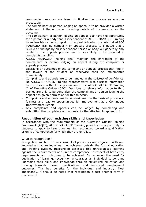reasonable measures are taken to finalise the process as soon as practicable.

- The complainant or person lodging an appeal is to be provided a written statement of the outcome, including details of the reasons for the outcome.
- The complainant or person lodging an appeal is to have the opportunity for a person or a body that is independent of ALSCO MANAGED Training to review his or her complaint or appeal following the internal ALSCO MANAGED Training complaint or appeals process. It is noted that a review of findings by an independent person or body will generally only relate to the appeals process and is less likely to be required in complaints handling.
- ALSCO MANAGED Training shall maintain the enrolment of the complainant or person lodging an appeal during the complaint or appeals process.
- Decisions or outcomes of the complaint or appeals process that find in the favour of the student or otherwise shall be implemented immediately.
- Complaints and appeals are to be handled in the strictest of confidence. No ALSCO MANAGED Training representative is to disclose information to any person without the permission of the ALSCO MANAGED Training Chief Executive Officer (CEO). Decisions to release information to third parties are only to be done after the complainant or person lodging the appeal has given permission for this to occur.
- Complaints and appeals are to be considered on the basis of procedural fairness and lead to opportunities for improvement as a Continuous Improvement Report.
- Any complaints and appeals can be lodged by completing and submitting the complaints and appeals for the attached in appendix 1.

#### **Recognition of your existing skills and knowledge**

In accordance with the requirements of the Australian Quality Training Framework (AQTF), ALSCO MANAGED Training provides the opportunity for students to apply to have prior learning recognised toward a qualification or units of competence for which they are enrolled.

#### What is recognition?

Recognition involves the assessment of previously unrecognised skills and knowledge that an individual has achieved outside the formal education and training system. Recognition assesses this unrecognised learning against the requirements of a unit of competence, in respect of both entry requirements and outcomes to be achieved. By removing the need for duplication of learning, recognition encourages an individual to continue upgrading their skills and knowledge through structured education and training towards formal qualifications and improved employment outcomes. This has benefits for the individual and industry. Most importantly, it should be noted that recognition is just another form of assessment.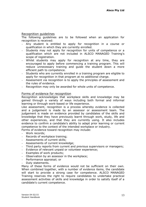#### Recognition guidelines

The following guidelines are to be followed when an application for recognition is received:

- Any student is entitled to apply for recognition in a course or qualification in which they are currently enrolled.
- Students may not apply for recognition for units of competence or a qualification which are not included in ALSCO MANAGED Training's scope of registration.
- Whilst students may apply for recognition at any time, they are encouraged to apply before commencing a training program. This will reduce unnecessary training and guide the student down a more efficient path to competence.
- Students who are currently enrolled in a training program are eligible to apply for recognition in that program at no additional charge.
- Assessment via recognition is to apply the principles of assessment and the rules of evidence.
- Recognition may only be awarded for whole units of competence.

#### Forms of evidence for recognition

Recognition acknowledges that workplace skills and knowledge may be gained through a variety of ways including both formal and informal learning or through work-based or life experience.

Like assessment, recognition is a process whereby evidence is collected and a judgement is made by an assessor or assessment team. The judgement is made on evidence provided by candidates of the skills and knowledge that they have previously learnt through work, study, life and other experiences, and that they are currently using. It also includes evidence to confirm a candidate's ability to adapt prior learning or current competence to the context of the intended workplace or industry.

Forms of evidence toward recognition may include:

- Work records;
- Records of workplace training;
- Assessments of current skills;
- Assessments of current knowledge;
- Third party reports from current and previous supervisors or managers;
- Evidence of relevant unpaid or volunteer experience;
- Examples of work products;
- Observation by an assessor in the workplace;
- Performance appraisal; or
- Duty statements.

Many of these forms of evidence would not be sufficient on their own. When combined together, with a number of evidence items, the candidate will start to provide a strong case for competence. ALSCO MANAGED Training reserves the right to require candidates to undertake practical assessment activities of skills and knowledge in order to satisfy itself of a candidate's current competence.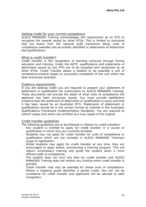#### Getting credit for your current competence

ALSCO MANAGED Training acknowledges the requirement as an RTO to recognise the awards issued by other RTOs. This is limited to outcomes that are drawn from the national skills framework being units of competence awarded and accurately identified in statements of attainment and qualifications.

#### What is credit transfer?

Credit transfer is the recognition of learning achieved through formal education and training. Under the AQTF, qualifications and statements of attainment issued by any RTO are to be accepted and recognised by all other RTOs. Credit Transfer allows a student to be awarded a unit of competency/module based on successful completion of the unit which has been previously awarded.

#### Evidence requirements

If you are seeking credit you are required to present your statement of attainment or qualification for examination by ALSCO MANAGED Training. These documents will provide the detail of what units of competence the applicant has been previously issued. You must provide satisfactory evidence that the statement of attainment or qualification is yours and that it has been issued by an Australian RTO. Statements of attainment or qualifications should be in the correct format as outlined in the Australian Qualifications Framework Implementation Handbook. You are required to submit copies only which are certified as a true copies of the original.

#### Credit transfer guidelines

The following guidelines are to be followed in relation to credit transfers:

- Any student is entitled to apply for credit transfer in a course or qualification in which they are currently enrolled.
- Students may not apply for credit transfer for units of competence or qualification which are not included in ALSCO MANAGED Training's scope of registration.
- Whilst students may apply for credit transfer at any time, they are encouraged to apply before commencing a training program. This will reduce unnecessary training and guide the student down a more efficient path to competence.
- The student does not incur any fees for credit transfer and ALSCO MANAGED Training does not receive any funding when credit transfer is granted.
- Credit transfer may only be awarded for whole units of competence. Where a mapping guide identifies a partial credit, this will not be considered for credit transfer and applicants will be advised to seek recognition.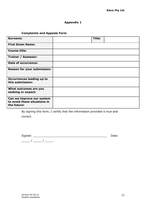#### **Appendix 1**

#### **Complaints and Appeals Form**

| Surname:                                                                 | <b>Title:</b> |  |
|--------------------------------------------------------------------------|---------------|--|
| <b>First Given Name:</b>                                                 |               |  |
| <b>Course title:</b>                                                     |               |  |
| Trainer / Assessor:                                                      |               |  |
| <b>Date of occurrence:</b>                                               |               |  |
| Reason for your submission:                                              |               |  |
| <b>Occurrences leading up to</b><br>this submission:                     |               |  |
| What outcomes are you<br>seeking or expect:                              |               |  |
| Can we improve our system<br>to avoid these situations in<br>the future: |               |  |

By signing this form, I certify that the information provided is true and correct.

| Signed: |  |  | Date: |
|---------|--|--|-------|
|         |  |  |       |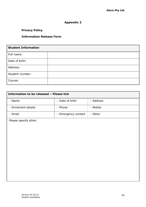#### **Appendix 2**

#### **Privacy Policy**

#### **Information Release Form**

| <b>Student Information</b> |  |  |
|----------------------------|--|--|
| Full name:                 |  |  |
| Date of birth:             |  |  |
| Address:                   |  |  |
| Student number:            |  |  |
| Course:                    |  |  |

| Information to be released - Please tick |                     |           |  |  |
|------------------------------------------|---------------------|-----------|--|--|
| □ Name                                   | □ Date of birth     | □ Address |  |  |
| □ Enrolment details                      | □ Phone             | □ Mobile  |  |  |
| □ Email                                  | □ Emergency contact | □ Other   |  |  |
| Please specify other:                    |                     |           |  |  |
|                                          |                     |           |  |  |
|                                          |                     |           |  |  |
|                                          |                     |           |  |  |
|                                          |                     |           |  |  |
|                                          |                     |           |  |  |
|                                          |                     |           |  |  |
|                                          |                     |           |  |  |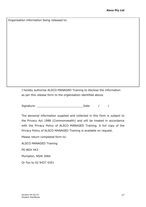Organisation information being released to:

I hereby authorise ALSCO MANAGED Training to disclose the information as per this release form to the organisation identified above.

Signature: \_\_\_\_\_\_\_\_\_\_\_\_\_\_\_\_\_\_\_\_\_\_\_\_\_\_\_Date / /

The personal information supplied and collected in this form is subject to the Privacy Act 1988 (Commonwealth) and will be treated in accordance with the Privacy Policy of ALSCO MANAGED Training. A full copy of the Privacy Policy of ALSCO MANAGED Training is available on request.

Please return completed form to:

ALSCO MANAGED Training PO BOX 443 Plumpton, NSW 2064 Or Fax to 02 9437 4351